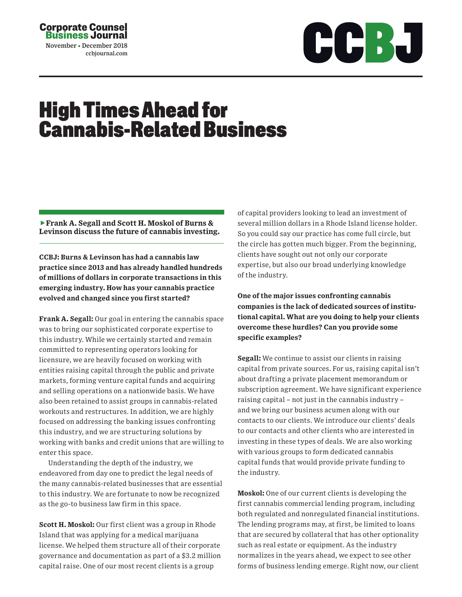## Corporate Counsel Business Journal November December 2018

ccbjournal.com



## High Times Ahead for Cannabis-Related Business

**Frank A. Segall and Scott H. Moskol of Burns & Levinson discuss the future of cannabis investing.**

**CCBJ: Burns & Levinson has had a cannabis law practice since 2013 and has already handled hundreds of millions of dollars in corporate transactions in this emerging industry. How has your cannabis practice evolved and changed since you first started?** 

**Frank A. Segall:** Our goal in entering the cannabis space was to bring our sophisticated corporate expertise to this industry. While we certainly started and remain committed to representing operators looking for licensure, we are heavily focused on working with entities raising capital through the public and private markets, forming venture capital funds and acquiring and selling operations on a nationwide basis. We have also been retained to assist groups in cannabis-related workouts and restructures. In addition, we are highly focused on addressing the banking issues confronting this industry, and we are structuring solutions by working with banks and credit unions that are willing to enter this space.

Understanding the depth of the industry, we endeavored from day one to predict the legal needs of the many cannabis-related businesses that are essential to this industry. We are fortunate to now be recognized as the go-to business law firm in this space.

**Scott H. Moskol:** Our first client was a group in Rhode Island that was applying for a medical marijuana license. We helped them structure all of their corporate governance and documentation as part of a \$3.2 million capital raise. One of our most recent clients is a group

of capital providers looking to lead an investment of several million dollars in a Rhode Island license holder. So you could say our practice has come full circle, but the circle has gotten much bigger. From the beginning, clients have sought out not only our corporate expertise, but also our broad underlying knowledge of the industry.

**One of the major issues confronting cannabis companies is the lack of dedicated sources of institutional capital. What are you doing to help your clients overcome these hurdles? Can you provide some specific examples?** 

**Segall:** We continue to assist our clients in raising capital from private sources. For us, raising capital isn't about drafting a private placement memorandum or subscription agreement. We have significant experience raising capital – not just in the cannabis industry – and we bring our business acumen along with our contacts to our clients. We introduce our clients' deals to our contacts and other clients who are interested in investing in these types of deals. We are also working with various groups to form dedicated cannabis capital funds that would provide private funding to the industry.

**Moskol:** One of our current clients is developing the first cannabis commercial lending program, including both regulated and nonregulated financial institutions. The lending programs may, at first, be limited to loans that are secured by collateral that has other optionality such as real estate or equipment. As the industry normalizes in the years ahead, we expect to see other forms of business lending emerge. Right now, our client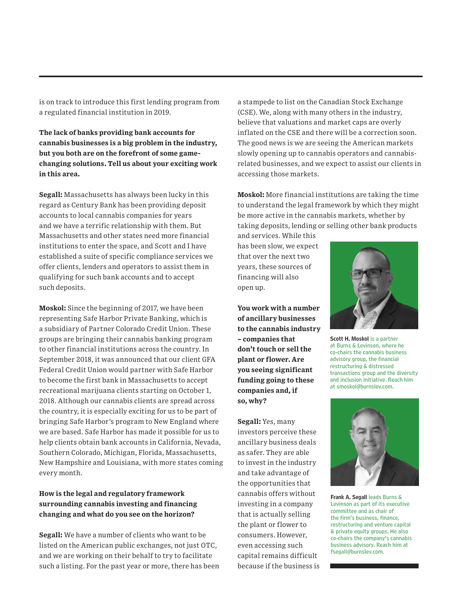is on track to introduce this first lending program from a regulated financial institution in 2019.

**The lack of banks providing bank accounts for cannabis businesses is a big problem in the industry, but you both are on the forefront of some gamechanging solutions. Tell us about your exciting work in this area.** 

**Segall:** Massachusetts has always been lucky in this regard as Century Bank has been providing deposit accounts to local cannabis companies for years and we have a terrific relationship with them. But Massachusetts and other states need more financial institutions to enter the space, and Scott and I have established a suite of specific compliance services we offer clients, lenders and operators to assist them in qualifying for such bank accounts and to accept such deposits.

**Moskol:** Since the beginning of 2017, we have been representing Safe Harbor Private Banking, which is a subsidiary of Partner Colorado Credit Union. These groups are bringing their cannabis banking program to other financial institutions across the country. In September 2018, it was announced that our client GFA Federal Credit Union would partner with Safe Harbor to become the first bank in Massachusetts to accept recreational marijuana clients starting on October 1, 2018. Although our cannabis clients are spread across the country, it is especially exciting for us to be part of bringing Safe Harbor's program to New England where we are based. Safe Harbor has made it possible for us to help clients obtain bank accounts in California, Nevada, Southern Colorado, Michigan, Florida, Massachusetts, New Hampshire and Louisiana, with more states coming every month.

## **How is the legal and regulatory framework surrounding cannabis investing and financing changing and what do you see on the horizon?**

**Segall:** We have a number of clients who want to be listed on the American public exchanges, not just OTC, and we are working on their behalf to try to facilitate such a listing. For the past year or more, there has been a stampede to list on the Canadian Stock Exchange (CSE). We, along with many others in the industry, believe that valuations and market caps are overly inflated on the CSE and there will be a correction soon. The good news is we are seeing the American markets slowly opening up to cannabis operators and cannabisrelated businesses, and we expect to assist our clients in accessing those markets.

**Moskol:** More financial institutions are taking the time to understand the legal framework by which they might be more active in the cannabis markets, whether by taking deposits, lending or selling other bank products

and services. While this has been slow, we expect that over the next two years, these sources of financing will also open up.

**You work with a number of ancillary businesses to the cannabis industry – companies that don't touch or sell the plant or flower. Are you seeing significant funding going to these companies and, if so, why?** 

**Segall:** Yes, many investors perceive these ancillary business deals as safer. They are able to invest in the industry and take advantage of the opportunities that cannabis offers without investing in a company that is actually selling the plant or flower to consumers. However, even accessing such capital remains difficult because if the business is



Scott H. Moskol is a partner at Burns & Levinson, where he co-chairs the cannabis business advisory group, the financial restructuring & distressed transactions group and the diversity and inclusion initiative. Reach him at smoskol@burnslev.com.



Frank A. Segall leads Burns & Levinson as part of its executive committee and as chair of the firm's business, finance, restructuring and venture capital & private equity groups. He also co-chairs the company's cannabis business advisory. Reach him at fsegall@burnslev.com.